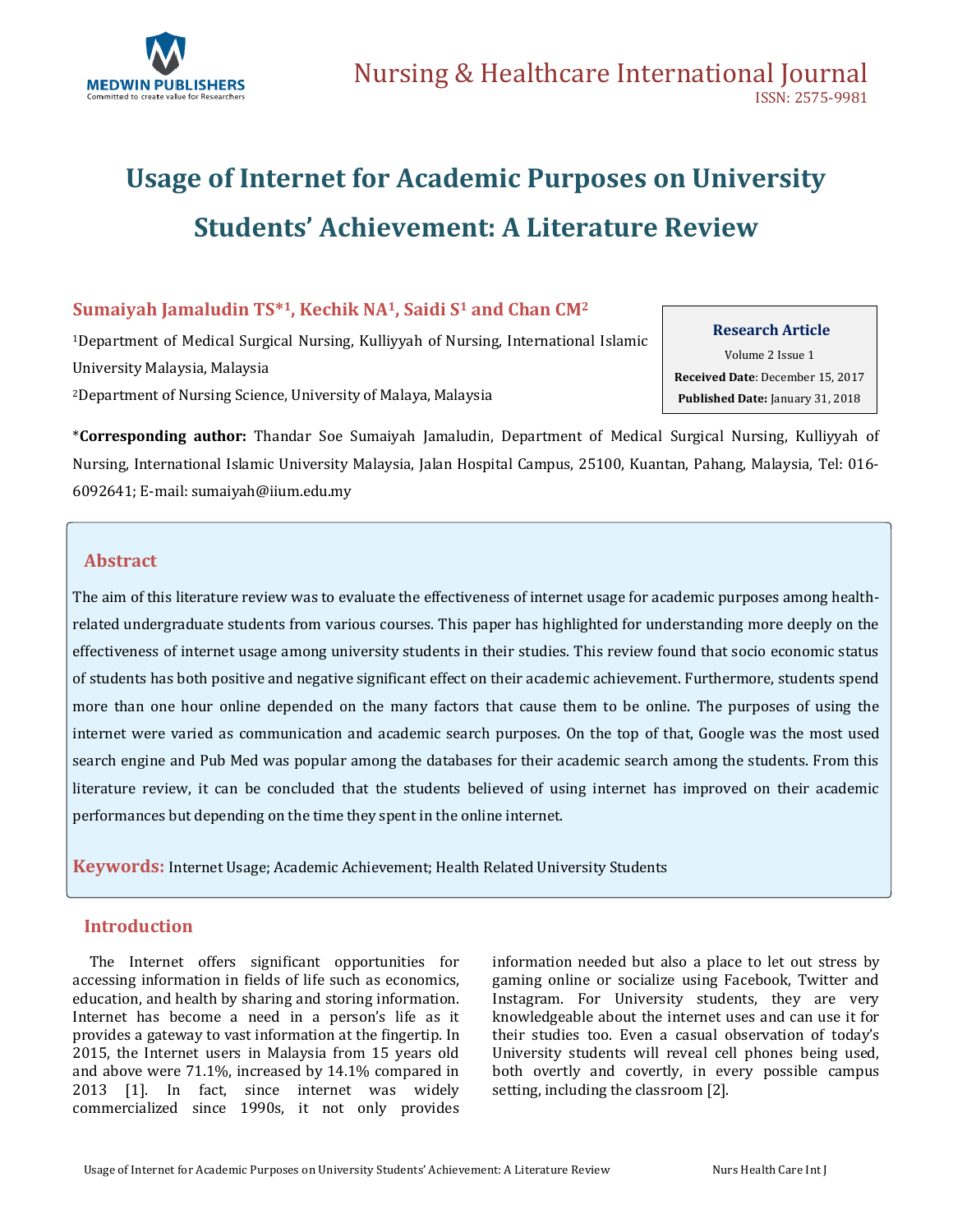

# **Usage of Internet for Academic Purposes on University Students' Achievement: A Literature Review**

### **Sumaiyah Jamaludin TS\*1, Kechik NA1, Saidi S<sup>1</sup> and Chan CM<sup>2</sup>**

<sup>1</sup>Department of Medical Surgical Nursing, Kulliyyah of Nursing, International Islamic University Malaysia, Malaysia <sup>2</sup>Department of Nursing Science, University of Malaya, Malaysia

#### **Research Article**

Volume 2 Issue 1 **Received Date**: December 15, 2017 **Published Date:** January 31, 2018

\***Corresponding author:** Thandar Soe Sumaiyah Jamaludin, Department of Medical Surgical Nursing, Kulliyyah of Nursing, International Islamic University Malaysia, Jalan Hospital Campus, 25100, Kuantan, Pahang, Malaysia, Tel: 016- 6092641; E-mail[: sumaiyah@iium.edu.my](mailto:sumaiyah@iium.edu.my)

### **Abstract**

The aim of this literature review was to evaluate the effectiveness of internet usage for academic purposes among healthrelated undergraduate students from various courses. This paper has highlighted for understanding more deeply on the effectiveness of internet usage among university students in their studies. This review found that socio economic status of students has both positive and negative significant effect on their academic achievement. Furthermore, students spend more than one hour online depended on the many factors that cause them to be online. The purposes of using the internet were varied as communication and academic search purposes. On the top of that, Google was the most used search engine and Pub Med was popular among the databases for their academic search among the students. From this literature review, it can be concluded that the students believed of using internet has improved on their academic performances but depending on the time they spent in the online internet.

**Keywords:** Internet Usage; Academic Achievement; Health Related University Students

### **Introduction**

 The Internet offers significant opportunities for accessing information in fields of life such as economics, education, and health by sharing and storing information. Internet has become a need in a person's life as it provides a gateway to vast information at the fingertip. In 2015, the Internet users in Malaysia from 15 years old and above were 71.1%, increased by 14.1% compared in 2013 [1]. In fact, since internet was widely commercialized since 1990s, it not only provides

information needed but also a place to let out stress by gaming online or socialize using Facebook, Twitter and Instagram. For University students, they are very knowledgeable about the internet uses and can use it for their studies too. Even a casual observation of today's University students will reveal cell phones being used, both overtly and covertly, in every possible campus setting, including the classroom [2].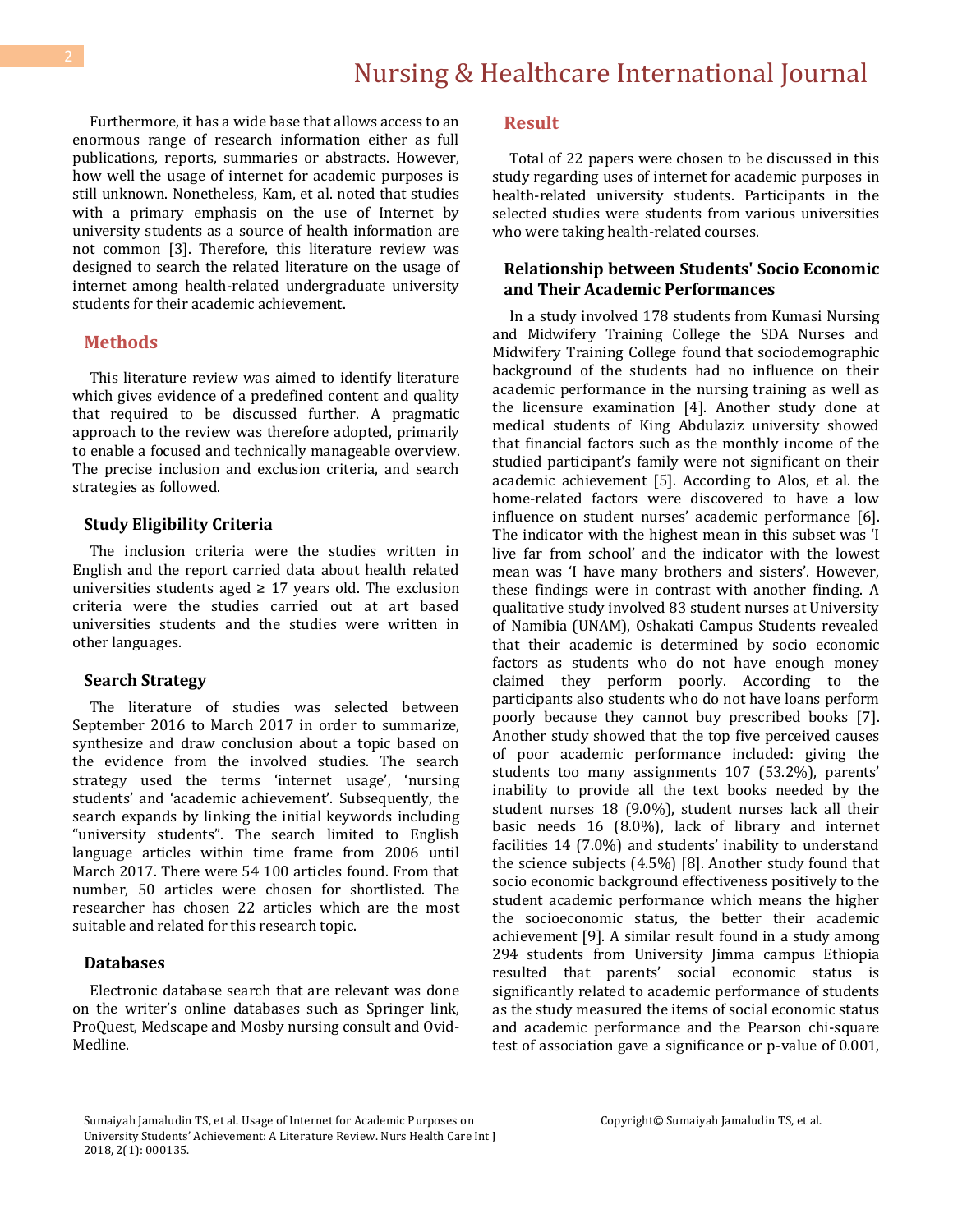Furthermore, it has a wide base that allows access to an enormous range of research information either as full publications, reports, summaries or abstracts. However, how well the usage of internet for academic purposes is still unknown. Nonetheless, Kam, et al. noted that studies with a primary emphasis on the use of Internet by university students as a source of health information are not common [3]. Therefore, this literature review was designed to search the related literature on the usage of internet among health-related undergraduate university students for their academic achievement.

#### **Methods**

 This literature review was aimed to identify literature which gives evidence of a predefined content and quality that required to be discussed further. A pragmatic approach to the review was therefore adopted, primarily to enable a focused and technically manageable overview. The precise inclusion and exclusion criteria, and search strategies as followed.

#### **Study Eligibility Criteria**

 The inclusion criteria were the studies written in English and the report carried data about health related universities students aged  $\geq$  17 years old. The exclusion criteria were the studies carried out at art based universities students and the studies were written in other languages.

#### **Search Strategy**

 The literature of studies was selected between September 2016 to March 2017 in order to summarize, synthesize and draw conclusion about a topic based on the evidence from the involved studies. The search strategy used the terms 'internet usage', 'nursing students' and 'academic achievement'. Subsequently, the search expands by linking the initial keywords including "university students". The search limited to English language articles within time frame from 2006 until March 2017. There were 54 100 articles found. From that number, 50 articles were chosen for shortlisted. The researcher has chosen 22 articles which are the most suitable and related for this research topic.

#### **Databases**

 Electronic database search that are relevant was done on the writer's online databases such as Springer link, ProQuest, Medscape and Mosby nursing consult and Ovid-Medline.

#### **Result**

 Total of 22 papers were chosen to be discussed in this study regarding uses of internet for academic purposes in health-related university students. Participants in the selected studies were students from various universities who were taking health-related courses.

#### **Relationship between Students' Socio Economic and Their Academic Performances**

 In a study involved 178 students from Kumasi Nursing and Midwifery Training College the SDA Nurses and Midwifery Training College found that sociodemographic background of the students had no influence on their academic performance in the nursing training as well as the licensure examination [4]. Another study done at medical students of King Abdulaziz university showed that financial factors such as the monthly income of the studied participant's family were not significant on their academic achievement [5]. According to Alos, et al. the home-related factors were discovered to have a low influence on student nurses' academic performance [6]. The indicator with the highest mean in this subset was 'I live far from school' and the indicator with the lowest mean was 'I have many brothers and sisters'. However, these findings were in contrast with another finding. A qualitative study involved 83 student nurses at University of Namibia (UNAM), Oshakati Campus Students revealed that their academic is determined by socio economic factors as students who do not have enough money claimed they perform poorly. According to the participants also students who do not have loans perform poorly because they cannot buy prescribed books [7]. Another study showed that the top five perceived causes of poor academic performance included: giving the students too many assignments 107 (53.2%), parents' inability to provide all the text books needed by the student nurses 18 (9.0%), student nurses lack all their basic needs 16 (8.0%), lack of library and internet facilities 14 (7.0%) and students' inability to understand the science subjects (4.5%) [8]. Another study found that socio economic background effectiveness positively to the student academic performance which means the higher the socioeconomic status, the better their academic achievement [9]. A similar result found in a study among 294 students from University Jimma campus Ethiopia resulted that parents' social economic status is significantly related to academic performance of students as the study measured the items of social economic status and academic performance and the Pearson chi-square test of association gave a significance or p-value of 0.001,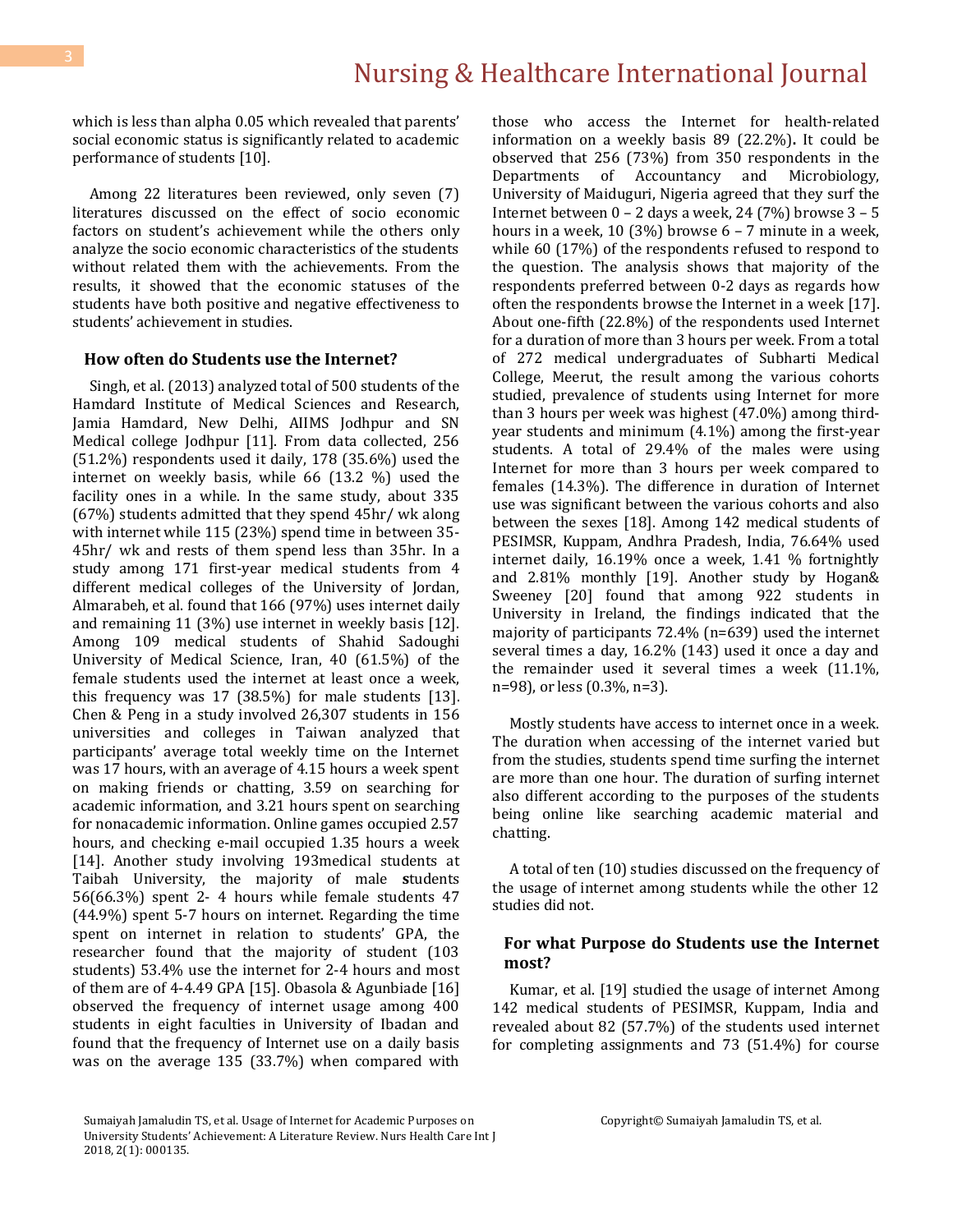which is less than alpha 0.05 which revealed that parents' social economic status is significantly related to academic performance of students [10].

 Among 22 literatures been reviewed, only seven (7) literatures discussed on the effect of socio economic factors on student's achievement while the others only analyze the socio economic characteristics of the students without related them with the achievements. From the results, it showed that the economic statuses of the students have both positive and negative effectiveness to students' achievement in studies.

#### **How often do Students use the Internet?**

 Singh, et al. (2013) analyzed total of 500 students of the Hamdard Institute of Medical Sciences and Research, Jamia Hamdard, New Delhi, AIIMS Jodhpur and SN Medical college Jodhpur [11]. From data collected, 256 (51.2%) respondents used it daily, 178 (35.6%) used the internet on weekly basis, while 66 (13.2 %) used the facility ones in a while. In the same study, about 335 (67%) students admitted that they spend 45hr/ wk along with internet while 115 (23%) spend time in between 35- 45hr/ wk and rests of them spend less than 35hr. In a study among 171 first-year medical students from 4 different medical colleges of the University of Jordan, Almarabeh, et al. found that 166 (97%) uses internet daily and remaining 11 (3%) use internet in weekly basis [12]. Among 109 medical students of Shahid Sadoughi University of Medical Science, Iran, 40 (61.5%) of the female students used the internet at least once a week, this frequency was 17 (38.5%) for male students [13]. Chen & Peng in a study involved 26,307 students in 156 universities and colleges in Taiwan analyzed that participants' average total weekly time on the Internet was 17 hours, with an average of 4.15 hours a week spent on making friends or chatting, 3.59 on searching for academic information, and 3.21 hours spent on searching for nonacademic information. Online games occupied 2.57 hours, and checking e-mail occupied 1.35 hours a week [14]. Another study involving 193 medical students at Taibah University, the majority of male **s**tudents 56(66.3%) spent 2- 4 hours while female students 47 (44.9%) spent 5-7 hours on internet. Regarding the time spent on internet in relation to students' GPA, the researcher found that the majority of student (103 students) 53.4% use the internet for 2-4 hours and most of them are of 4-4.49 GPA [15]. Obasola & Agunbiade [16] observed the frequency of internet usage among 400 students in eight faculties in University of Ibadan and found that the frequency of Internet use on a daily basis was on the average 135 (33.7%) when compared with

those who access the Internet for health-related information on a weekly basis 89 (22.2%)**.** It could be observed that 256 (73%) from 350 respondents in the Departments of Accountancy and Microbiology, University of Maiduguri, Nigeria agreed that they surf the Internet between 0 – 2 days a week, 24 (7%) browse 3 – 5 hours in a week, 10 (3%) browse 6 – 7 minute in a week, while 60 (17%) of the respondents refused to respond to the question. The analysis shows that majority of the respondents preferred between 0-2 days as regards how often the respondents browse the Internet in a week [17]. About one-fifth (22.8%) of the respondents used Internet for a duration of more than 3 hours per week. From a total of 272 medical undergraduates of Subharti Medical College, Meerut, the result among the various cohorts studied, prevalence of students using Internet for more than 3 hours per week was highest (47.0%) among thirdyear students and minimum (4.1%) among the first-year students. A total of 29.4% of the males were using Internet for more than 3 hours per week compared to females (14.3%). The difference in duration of Internet use was significant between the various cohorts and also between the sexes [18]. Among 142 medical students of PESIMSR, Kuppam, Andhra Pradesh, India, 76.64% used internet daily, 16.19% once a week, 1.41 % fortnightly and 2.81% monthly [19]. Another study by Hogan& Sweeney [20] found that among 922 students in University in Ireland, the findings indicated that the majority of participants 72.4% (n=639) used the internet several times a day, 16.2% (143) used it once a day and the remainder used it several times a week (11.1%, n=98), or less (0.3%, n=3).

 Mostly students have access to internet once in a week. The duration when accessing of the internet varied but from the studies, students spend time surfing the internet are more than one hour. The duration of surfing internet also different according to the purposes of the students being online like searching academic material and chatting.

 A total of ten (10) studies discussed on the frequency of the usage of internet among students while the other 12 studies did not.

#### **For what Purpose do Students use the Internet most?**

 Kumar, et al. [19] studied the usage of internet Among 142 medical students of PESIMSR, Kuppam, India and revealed about 82 (57.7%) of the students used internet for completing assignments and 73 (51.4%) for course

Sumaiyah Jamaludin TS, et al. Usage of Internet for Academic Purposes on University Students' Achievement: A Literature Review. Nurs Health Care Int J 2018, 2(1): 000135.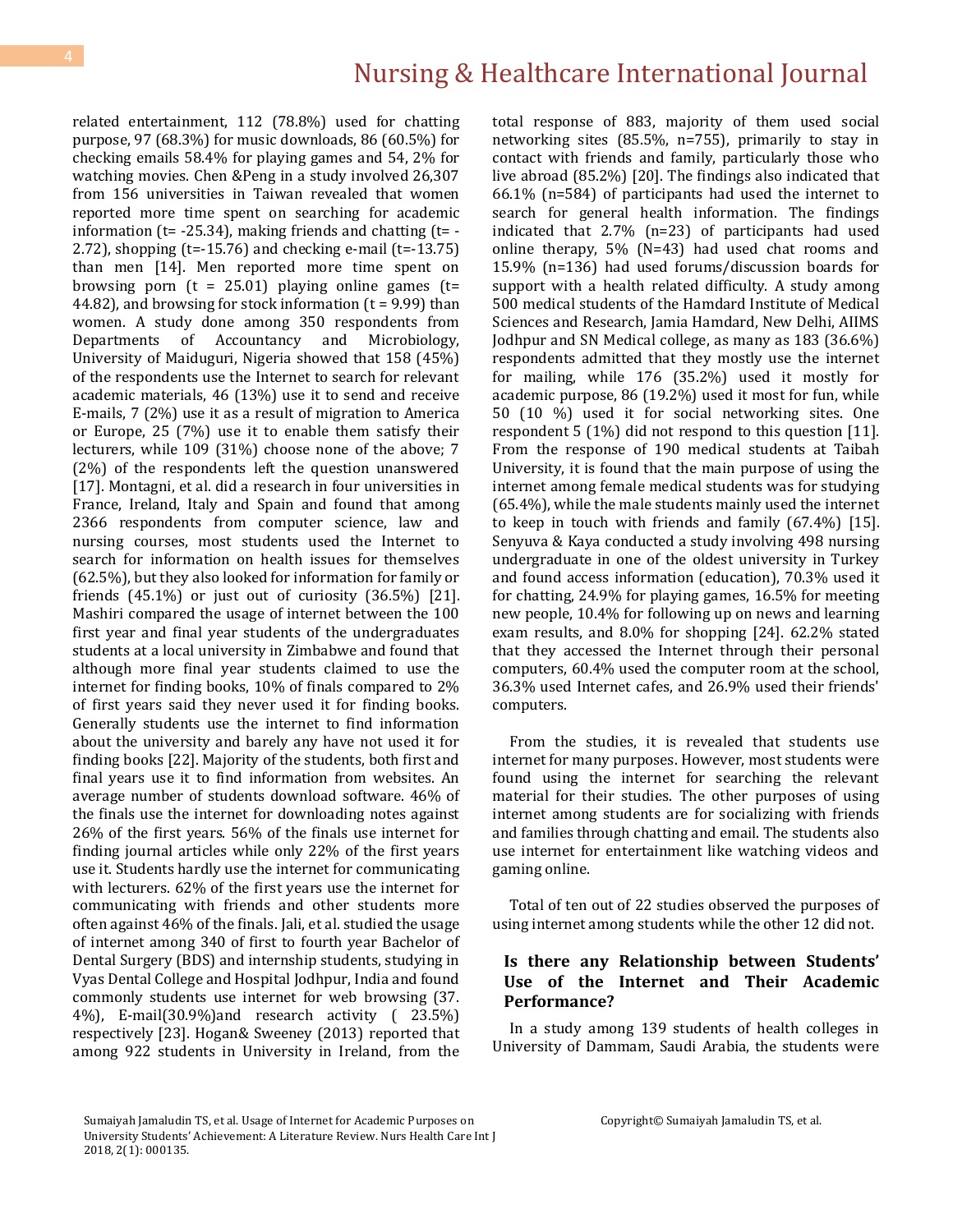related entertainment, 112 (78.8%) used for chatting purpose, 97 (68.3%) for music downloads, 86 (60.5%) for checking emails 58.4% for playing games and 54, 2% for watching movies. Chen &Peng in a study involved 26,307 from 156 universities in Taiwan revealed that women reported more time spent on searching for academic information (t= -25.34), making friends and chatting (t= - 2.72), shopping (t=-15.76) and checking e-mail (t=-13.75) than men [14]. Men reported more time spent on browsing porn  $(t = 25.01)$  playing online games  $(t=$ 44.82), and browsing for stock information  $(t = 9.99)$  than women. A study done among 350 respondents from Departments of Accountancy and Microbiology, University of Maiduguri, Nigeria showed that 158 (45%) of the respondents use the Internet to search for relevant academic materials, 46 (13%) use it to send and receive E-mails, 7 (2%) use it as a result of migration to America or Europe, 25 (7%) use it to enable them satisfy their lecturers, while 109 (31%) choose none of the above; 7 (2%) of the respondents left the question unanswered [17]. Montagni, et al. did a research in four universities in France, Ireland, Italy and Spain and found that among 2366 respondents from computer science, law and nursing courses, most students used the Internet to search for information on health issues for themselves (62.5%), but they also looked for information for family or friends  $(45.1\%)$  or just out of curiosity  $(36.5\%)$  [21]. Mashiri compared the usage of internet between the 100 first year and final year students of the undergraduates students at a local university in Zimbabwe and found that although more final year students claimed to use the internet for finding books, 10% of finals compared to 2% of first years said they never used it for finding books. Generally students use the internet to find information about the university and barely any have not used it for finding books [22]. Majority of the students, both first and final years use it to find information from websites. An average number of students download software. 46% of the finals use the internet for downloading notes against 26% of the first years. 56% of the finals use internet for finding journal articles while only 22% of the first years use it. Students hardly use the internet for communicating with lecturers. 62% of the first years use the internet for communicating with friends and other students more often against 46% of the finals. Jali, et al. studied the usage of internet among 340 of first to fourth year Bachelor of Dental Surgery (BDS) and internship students, studying in Vyas Dental College and Hospital Jodhpur, India and found commonly students use internet for web browsing (37. 4%), E-mail(30.9%)and research activity ( 23.5%) respectively [23]. Hogan& Sweeney (2013) reported that among 922 students in University in Ireland, from the total response of 883, majority of them used social networking sites (85.5%, n=755), primarily to stay in contact with friends and family, particularly those who live abroad (85.2%) [20]. The findings also indicated that 66.1% (n=584) of participants had used the internet to search for general health information. The findings indicated that 2.7% (n=23) of participants had used online therapy, 5% (N=43) had used chat rooms and 15.9% (n=136) had used forums/discussion boards for support with a health related difficulty. A study among 500 medical students of the Hamdard Institute of Medical Sciences and Research, Jamia Hamdard, New Delhi, AIIMS Jodhpur and SN Medical college, as many as 183 (36.6%) respondents admitted that they mostly use the internet for mailing, while 176 (35.2%) used it mostly for academic purpose, 86 (19.2%) used it most for fun, while 50 (10 %) used it for social networking sites. One respondent 5 (1%) did not respond to this question [11]. From the response of 190 medical students at Taibah University, it is found that the main purpose of using the internet among female medical students was for studying (65.4%), while the male students mainly used the internet to keep in touch with friends and family (67.4%) [15]. Senyuva & Kaya conducted a study involving 498 nursing undergraduate in one of the oldest university in Turkey and found access information (education), 70.3% used it for chatting, 24.9% for playing games, 16.5% for meeting new people, 10.4% for following up on news and learning exam results, and 8.0% for shopping [24]. 62.2% stated that they accessed the Internet through their personal computers, 60.4% used the computer room at the school, 36.3% used Internet cafes, and 26.9% used their friends' computers.

 From the studies, it is revealed that students use internet for many purposes. However, most students were found using the internet for searching the relevant material for their studies. The other purposes of using internet among students are for socializing with friends and families through chatting and email. The students also use internet for entertainment like watching videos and gaming online.

 Total of ten out of 22 studies observed the purposes of using internet among students while the other 12 did not.

#### **Is there any Relationship between Students' Use of the Internet and Their Academic Performance?**

 In a study among 139 students of health colleges in University of Dammam, Saudi Arabia, the students were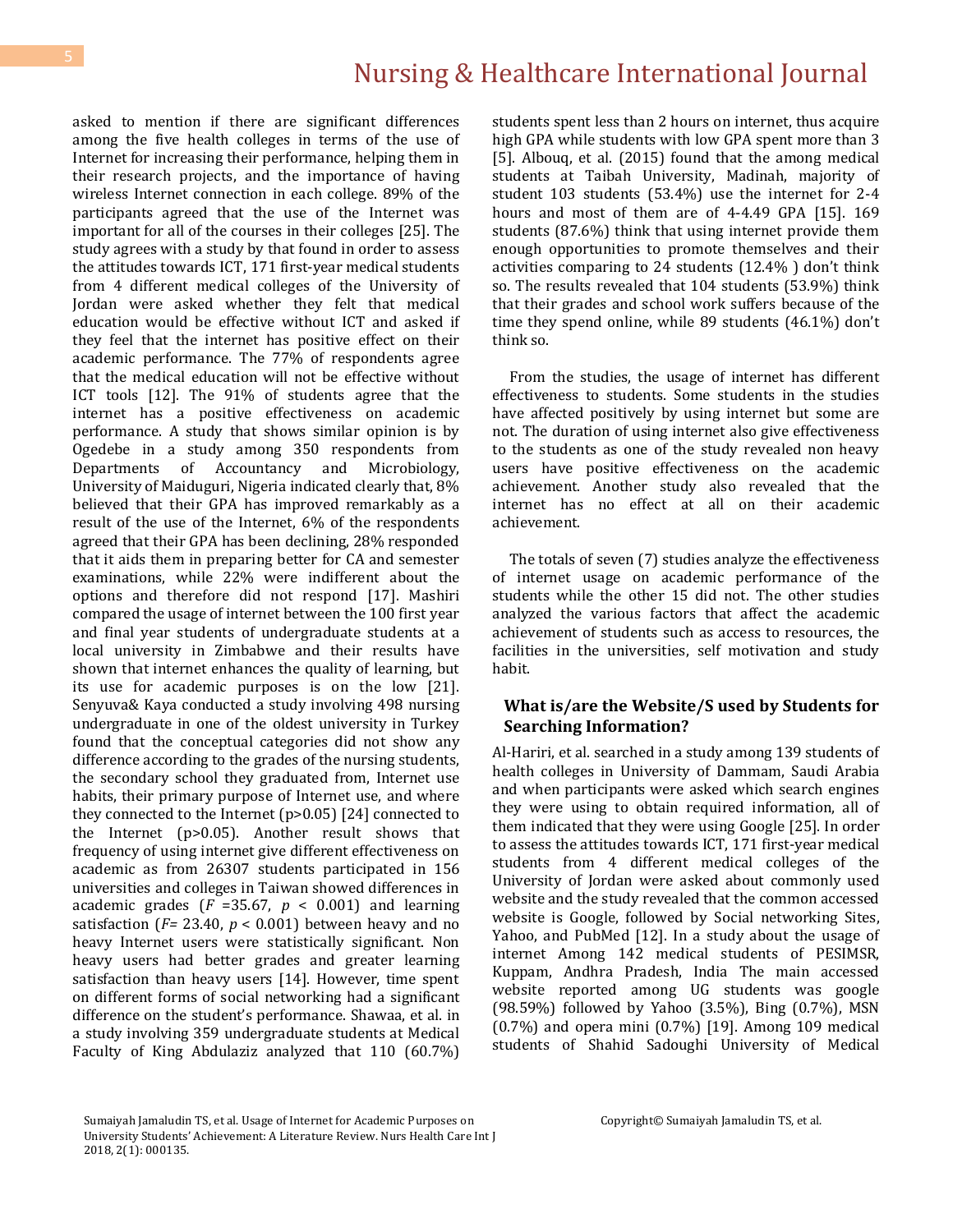# Nursing & Healthcare International Journal

asked to mention if there are significant differences among the five health colleges in terms of the use of Internet for increasing their performance, helping them in their research projects, and the importance of having wireless Internet connection in each college. 89% of the participants agreed that the use of the Internet was important for all of the courses in their colleges [25]. The study agrees with a study by that found in order to assess the attitudes towards ICT, 171 first-year medical students from 4 different medical colleges of the University of Jordan were asked whether they felt that medical education would be effective without ICT and asked if they feel that the internet has positive effect on their academic performance. The 77% of respondents agree that the medical education will not be effective without ICT tools [12]. The 91% of students agree that the internet has a positive effectiveness on academic performance. A study that shows similar opinion is by Ogedebe in a study among 350 respondents from Departments of Accountancy and Microbiology, University of Maiduguri, Nigeria indicated clearly that, 8% believed that their GPA has improved remarkably as a result of the use of the Internet, 6% of the respondents agreed that their GPA has been declining, 28% responded that it aids them in preparing better for CA and semester examinations, while 22% were indifferent about the options and therefore did not respond [17]. Mashiri compared the usage of internet between the 100 first year and final year students of undergraduate students at a local university in Zimbabwe and their results have shown that internet enhances the quality of learning, but its use for academic purposes is on the low [21]. Senyuva& Kaya conducted a study involving 498 nursing undergraduate in one of the oldest university in Turkey found that the conceptual categories did not show any difference according to the grades of the nursing students, the secondary school they graduated from, Internet use habits, their primary purpose of Internet use, and where they connected to the Internet (p>0.05) [24] connected to the Internet (p>0.05). Another result shows that frequency of using internet give different effectiveness on academic as from 26307 students participated in 156 universities and colleges in Taiwan showed differences in academic grades  $(F = 35.67, p < 0.001)$  and learning satisfaction (*F=* 23.40, *p* < 0.001) between heavy and no heavy Internet users were statistically significant. Non heavy users had better grades and greater learning satisfaction than heavy users [14]. However, time spent on different forms of social networking had a significant difference on the student's performance. Shawaa, et al. in a study involving 359 undergraduate students at Medical Faculty of King Abdulaziz analyzed that 110 (60.7%) students spent less than 2 hours on internet, thus acquire high GPA while students with low GPA spent more than 3 [5]. Albouq, et al. (2015) found that the among medical students at Taibah University, Madinah, majority of student 103 students (53.4%) use the internet for 2-4 hours and most of them are of 4-4.49 GPA [15]. 169 students (87.6%) think that using internet provide them enough opportunities to promote themselves and their activities comparing to 24 students (12.4% ) don't think so. The results revealed that 104 students (53.9%) think that their grades and school work suffers because of the time they spend online, while 89 students (46.1%) don't think so.

 From the studies, the usage of internet has different effectiveness to students. Some students in the studies have affected positively by using internet but some are not. The duration of using internet also give effectiveness to the students as one of the study revealed non heavy users have positive effectiveness on the academic achievement. Another study also revealed that the internet has no effect at all on their academic achievement.

 The totals of seven (7) studies analyze the effectiveness of internet usage on academic performance of the students while the other 15 did not. The other studies analyzed the various factors that affect the academic achievement of students such as access to resources, the facilities in the universities, self motivation and study habit.

#### **What is/are the Website/S used by Students for Searching Information?**

Al-Hariri, et al. searched in a study among 139 students of health colleges in University of Dammam, Saudi Arabia and when participants were asked which search engines they were using to obtain required information, all of them indicated that they were using Google [25]. In order to assess the attitudes towards ICT, 171 first-year medical students from 4 different medical colleges of the University of Jordan were asked about commonly used website and the study revealed that the common accessed website is Google, followed by Social networking Sites, Yahoo, and PubMed [12]. In a study about the usage of internet Among 142 medical students of PESIMSR, Kuppam, Andhra Pradesh, India The main accessed website reported among UG students was google (98.59%) followed by Yahoo (3.5%), Bing (0.7%), MSN (0.7%) and opera mini (0.7%) [19]. Among 109 medical students of Shahid Sadoughi University of Medical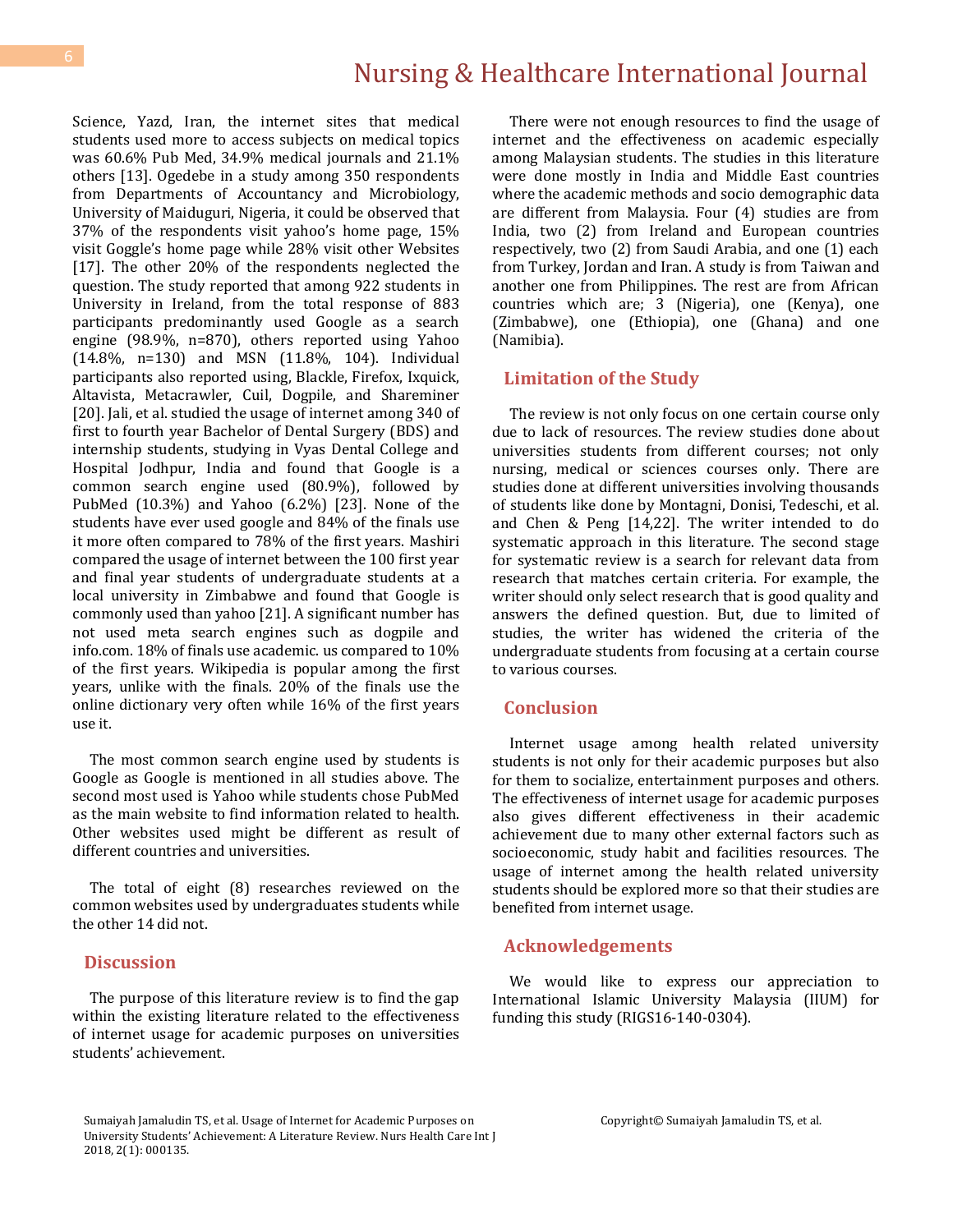## Nursing & Healthcare International Journal

Science, Yazd, Iran, the internet sites that medical students used more to access subjects on medical topics was 60.6% Pub Med, 34.9% medical journals and 21.1% others [13]. Ogedebe in a study among 350 respondents from Departments of Accountancy and Microbiology, University of Maiduguri, Nigeria, it could be observed that 37% of the respondents visit yahoo's home page, 15% visit Goggle's home page while 28% visit other Websites [17]. The other 20% of the respondents neglected the question. The study reported that among 922 students in University in Ireland, from the total response of 883 participants predominantly used Google as a search engine (98.9%, n=870), others reported using Yahoo (14.8%, n=130) and MSN (11.8%, 104). Individual participants also reported using, Blackle, Firefox, Ixquick, Altavista, Metacrawler, Cuil, Dogpile, and Shareminer [20]. Jali, et al. studied the usage of internet among 340 of first to fourth year Bachelor of Dental Surgery (BDS) and internship students, studying in Vyas Dental College and Hospital Jodhpur, India and found that Google is a common search engine used (80.9%), followed by PubMed (10.3%) and Yahoo (6.2%) [23]. None of the students have ever used google and 84% of the finals use it more often compared to 78% of the first years. Mashiri compared the usage of internet between the 100 first year and final year students of undergraduate students at a local university in Zimbabwe and found that Google is commonly used than yahoo [21]. A significant number has not used meta search engines such as dogpile and info.com. 18% of finals use academic. us compared to 10% of the first years. Wikipedia is popular among the first years, unlike with the finals. 20% of the finals use the online dictionary very often while 16% of the first years use it.

 The most common search engine used by students is Google as Google is mentioned in all studies above. The second most used is Yahoo while students chose PubMed as the main website to find information related to health. Other websites used might be different as result of different countries and universities.

 The total of eight (8) researches reviewed on the common websites used by undergraduates students while the other 14 did not.

#### **Discussion**

 The purpose of this literature review is to find the gap within the existing literature related to the effectiveness of internet usage for academic purposes on universities students' achievement.

 There were not enough resources to find the usage of internet and the effectiveness on academic especially among Malaysian students. The studies in this literature were done mostly in India and Middle East countries where the academic methods and socio demographic data are different from Malaysia. Four (4) studies are from India, two (2) from Ireland and European countries respectively, two (2) from Saudi Arabia, and one (1) each from Turkey, Jordan and Iran. A study is from Taiwan and another one from Philippines. The rest are from African countries which are; 3 (Nigeria), one (Kenya), one (Zimbabwe), one (Ethiopia), one (Ghana) and one (Namibia).

#### **Limitation of the Study**

 The review is not only focus on one certain course only due to lack of resources. The review studies done about universities students from different courses; not only nursing, medical or sciences courses only. There are studies done at different universities involving thousands of students like done by Montagni, Donisi, Tedeschi, et al. and Chen & Peng [14,22]. The writer intended to do systematic approach in this literature. The second stage for systematic review is a search for relevant data from research that matches certain criteria. For example, the writer should only select research that is good quality and answers the defined question. But, due to limited of studies, the writer has widened the criteria of the undergraduate students from focusing at a certain course to various courses.

#### **Conclusion**

 Internet usage among health related university students is not only for their academic purposes but also for them to socialize, entertainment purposes and others. The effectiveness of internet usage for academic purposes also gives different effectiveness in their academic achievement due to many other external factors such as socioeconomic, study habit and facilities resources. The usage of internet among the health related university students should be explored more so that their studies are benefited from internet usage.

#### **Acknowledgements**

 We would like to express our appreciation to International Islamic University Malaysia (IIUM) for funding this study (RIGS16-140-0304).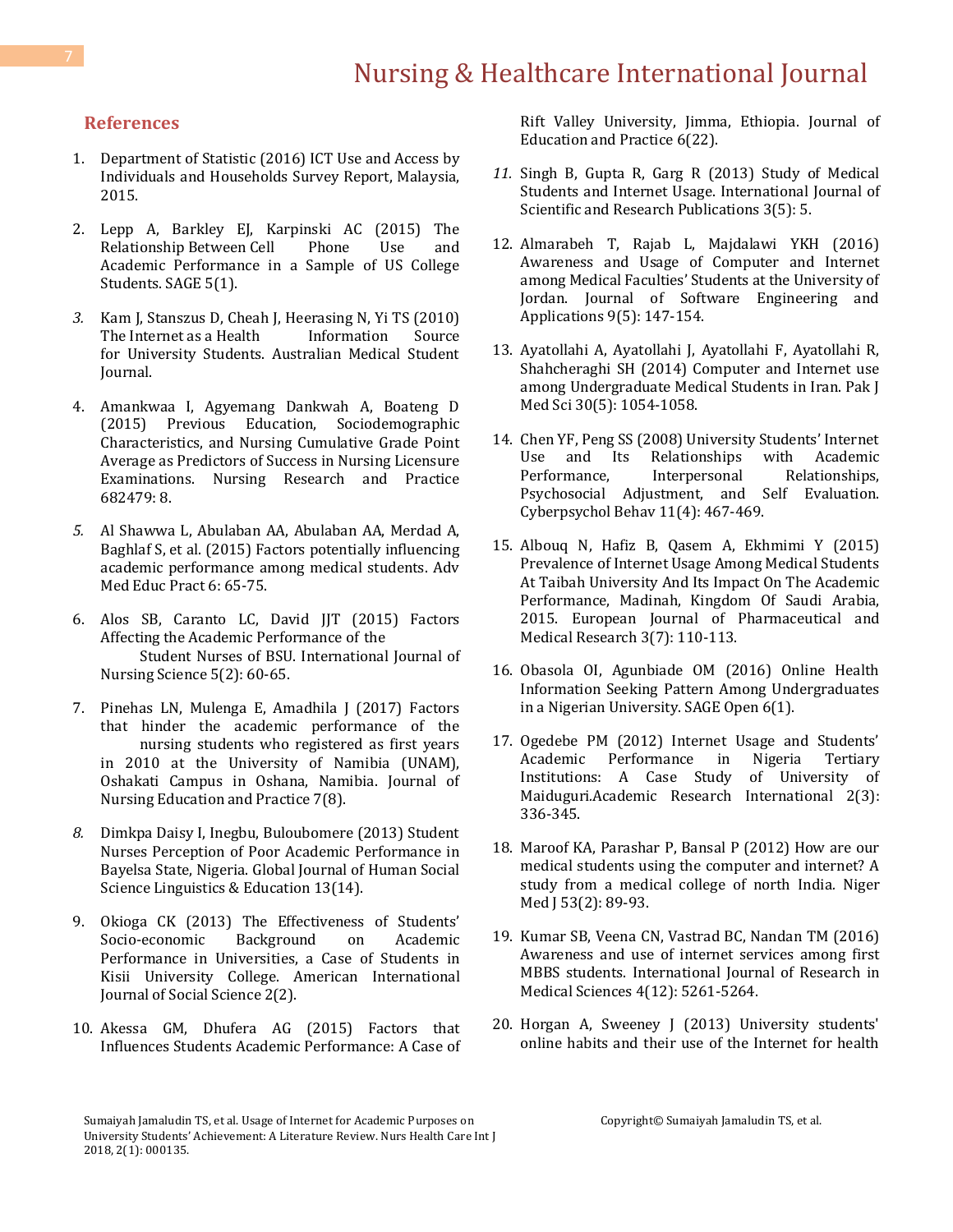#### **References**

- 1. [Department of Statistic \(2016\) ICT Use and Access by](https://www.dosm.gov.my/v1/index.php?r=column/pdfPrev&id=Q3l3WXJFbG1PNjRwcHZQTVlSR1UrQT09)  [Individuals and Households Survey Report, Malaysia,](https://www.dosm.gov.my/v1/index.php?r=column/pdfPrev&id=Q3l3WXJFbG1PNjRwcHZQTVlSR1UrQT09)  [2015.](https://www.dosm.gov.my/v1/index.php?r=column/pdfPrev&id=Q3l3WXJFbG1PNjRwcHZQTVlSR1UrQT09)
- 2. [Lepp A, Barkley EJ, Karpinski AC \(2015\) The](http://journals.sagepub.com/doi/abs/10.1177/2158244015573169)  [Relationship Between Cell Phone Use and](http://journals.sagepub.com/doi/abs/10.1177/2158244015573169)  [Academic Performance in a Sample of US College](http://journals.sagepub.com/doi/abs/10.1177/2158244015573169)  [Students. SAGE 5\(1\).](http://journals.sagepub.com/doi/abs/10.1177/2158244015573169)
- *3.* [Kam J, Stanszus D, Cheah J, Heerasing N, Yi TS \(2010\)](http://www.amsj.org/archives/284)  The Internet as a Health Information Source [for University Students. Australian Medical Student](http://www.amsj.org/archives/284)  [Journal.](http://www.amsj.org/archives/284)
- 4. [Amankwaa I, Agyemang Dankwah A, Boateng D](https://www.hindawi.com/journals/nrp/2015/682479/)  [\(2015\) Previous Education, Sociodemographic](https://www.hindawi.com/journals/nrp/2015/682479/)  [Characteristics, and Nursing Cumulative Grade Point](https://www.hindawi.com/journals/nrp/2015/682479/)  [Average as Predictors of Success in Nursing Licensure](https://www.hindawi.com/journals/nrp/2015/682479/)  [Examinations. Nursing Research and Practice](https://www.hindawi.com/journals/nrp/2015/682479/)  [682479: 8.](https://www.hindawi.com/journals/nrp/2015/682479/)
- *5.* [Al Shawwa L, Abulaban AA, Abulaban AA, Merdad A,](https://www.ncbi.nlm.nih.gov/pubmed/25674033/)  [Baghlaf S, et al. \(2015\) Factors potentially influencing](https://www.ncbi.nlm.nih.gov/pubmed/25674033/)  [academic performance among medical students. Adv](https://www.ncbi.nlm.nih.gov/pubmed/25674033/)  [Med Educ Pract 6: 65-75.](https://www.ncbi.nlm.nih.gov/pubmed/25674033/)
- 6. [Alos SB, Caranto LC, David JJT \(2015\) Factors](http://article.sapub.org/10.5923.j.nursing.20150502.04.html)  [Affecting the Academic Performance of the](http://article.sapub.org/10.5923.j.nursing.20150502.04.html)  [Student Nurses of BSU. International Journal of](http://article.sapub.org/10.5923.j.nursing.20150502.04.html)  [Nursing Science 5\(2\): 60-65.](http://article.sapub.org/10.5923.j.nursing.20150502.04.html)
- 7. [Pinehas LN, Mulenga E, Amadhila J \(2017\) Factors](http://www.sciedu.ca/journal/index.php/jnep/article/view/10754)  [that hinder the academic performance of the](http://www.sciedu.ca/journal/index.php/jnep/article/view/10754)  [nursing students who registered as first years](http://www.sciedu.ca/journal/index.php/jnep/article/view/10754)  [in 2010 at the University of Namibia \(UNAM\),](http://www.sciedu.ca/journal/index.php/jnep/article/view/10754)  [Oshakati Campus in Oshana, Namibia. Journal of](http://www.sciedu.ca/journal/index.php/jnep/article/view/10754)  [Nursing Education and Practice 7\(8\).](http://www.sciedu.ca/journal/index.php/jnep/article/view/10754)
- *8.* [Dimkpa Daisy I, Inegbu, Buloubomere \(2013\) Student](https://globaljournals.org/item/2760-student-nurses-perception-of-poor-academic-performance-in-bayelsa-state-nigeria)  [Nurses Perception of Poor Academic Performance in](https://globaljournals.org/item/2760-student-nurses-perception-of-poor-academic-performance-in-bayelsa-state-nigeria)  [Bayelsa State, Nigeria. Global Journal of Human Social](https://globaljournals.org/item/2760-student-nurses-perception-of-poor-academic-performance-in-bayelsa-state-nigeria)  [Science Linguistics & Education 13\(14\).](https://globaljournals.org/item/2760-student-nurses-perception-of-poor-academic-performance-in-bayelsa-state-nigeria)
- 9. Okioga CK (2013) [The Effectiveness of Students'](http://www.aijssnet.com/index.php/archive.html)  [Socio-economic Background on Academic](http://www.aijssnet.com/index.php/archive.html)  [Performance in Universities, a Case of Students in](http://www.aijssnet.com/index.php/archive.html)  [Kisii University College. American International](http://www.aijssnet.com/index.php/archive.html)  [Journal of Social Science 2\(2\).](http://www.aijssnet.com/index.php/archive.html)
- 10. [Akessa GM, Dhufera AG \(2015\) Factors that](http://www.iiste.org/Journals/index.php/JEP/article/view/25219)  [Influences Students Academic Performance: A Case of](http://www.iiste.org/Journals/index.php/JEP/article/view/25219)

[Rift Valley University, Jimma, Ethiopia. Journal of](http://www.iiste.org/Journals/index.php/JEP/article/view/25219)  [Education and Practice 6\(22\).](http://www.iiste.org/Journals/index.php/JEP/article/view/25219)

- *11.* [Singh B, Gupta R, Garg R \(2013\) Study of Medical](http://www.ijsrp.org/research-paper-0513/ijsrp-p1724.pdf)  [Students and Internet Usage. International Journal of](http://www.ijsrp.org/research-paper-0513/ijsrp-p1724.pdf)  [Scientific and Research Publications 3\(5\): 5.](http://www.ijsrp.org/research-paper-0513/ijsrp-p1724.pdf)
- 12. [Almarabeh T, Rajab L, Majdalawi YKH \(2016\)](http://www.scirp.org/journal/PaperInformation.aspx?PaperID=66343)  [Awareness and Usage of Computer and Internet](http://www.scirp.org/journal/PaperInformation.aspx?PaperID=66343)  among Medical Facu[lties' Students at the University of](http://www.scirp.org/journal/PaperInformation.aspx?PaperID=66343)  [Jordan. Journal of Software Engineering and](http://www.scirp.org/journal/PaperInformation.aspx?PaperID=66343)  Applications [9\(5\): 147-154.](http://www.scirp.org/journal/PaperInformation.aspx?PaperID=66343)
- 13. [Ayatollahi A, Ayatollahi J, Ayatollahi F, Ayatollahi R,](https://www.ncbi.nlm.nih.gov/pubmed/25225525/)  [Shahcheraghi SH \(2014\) Computer and Internet use](https://www.ncbi.nlm.nih.gov/pubmed/25225525/)  [among Undergraduate Medical Students in Iran. Pak J](https://www.ncbi.nlm.nih.gov/pubmed/25225525/)  [Med Sci 30\(5\): 1054-1058.](https://www.ncbi.nlm.nih.gov/pubmed/25225525/)
- 14. [Chen YF, Peng SS \(2008\) University Students' Internet](https://www.ncbi.nlm.nih.gov/pubmed/18721095)  [Use and Its Relationships with Academic](https://www.ncbi.nlm.nih.gov/pubmed/18721095)  [Performance, Interpersonal Relationships,](https://www.ncbi.nlm.nih.gov/pubmed/18721095)  [Psychosocial Adjustment, and Self Evaluation.](https://www.ncbi.nlm.nih.gov/pubmed/18721095)  [Cyberpsychol Behav 11\(4\): 467-469.](https://www.ncbi.nlm.nih.gov/pubmed/18721095)
- 15. [Albouq N, Hafiz B, Qasem A, Ekhmimi Y \(2015\)](http://www.ejpmr.com/admin/assets/article_issue/1467269293.pdf)  [Prevalence of Internet Usage Among Medical Students](http://www.ejpmr.com/admin/assets/article_issue/1467269293.pdf)  [At Taibah University And Its Impact On The Academic](http://www.ejpmr.com/admin/assets/article_issue/1467269293.pdf)  [Performance, Madinah, Kingdom Of Saudi Arabia,](http://www.ejpmr.com/admin/assets/article_issue/1467269293.pdf)  [2015. European Journal of Pharmaceutical and](http://www.ejpmr.com/admin/assets/article_issue/1467269293.pdf)  [Medical Research](http://www.ejpmr.com/admin/assets/article_issue/1467269293.pdf) 3(7): 110-113.
- 16. [Obasola OI, Agunbiade OM \(2016\) Online Health](http://journals.sagepub.com/doi/abs/10.1177/2158244016635255)  [Information Seeking Pattern Among Undergraduates](http://journals.sagepub.com/doi/abs/10.1177/2158244016635255)  [in a Nigerian University.](http://journals.sagepub.com/doi/abs/10.1177/2158244016635255) SAGE Open 6(1).
- 17. [Ogedebe PM \(2012\) Internet Usage and Students'](http://paper.researchbib.com/view/paper/7074)  [Academic Performance in Nigeria Tertiary](http://paper.researchbib.com/view/paper/7074)  [Institutions: A Case Study of University of](http://paper.researchbib.com/view/paper/7074)  Maiduguri*.*[Academic Research International 2\(3\):](http://paper.researchbib.com/view/paper/7074)  [336-345.](http://paper.researchbib.com/view/paper/7074)
- 18. [Maroof KA, Parashar P, Bansal P \(2012\) How are our](https://www.ncbi.nlm.nih.gov/pubmed/23271853/)  [medical students using the computer and internet? A](https://www.ncbi.nlm.nih.gov/pubmed/23271853/)  [study from a medical college of north India](https://www.ncbi.nlm.nih.gov/pubmed/23271853/)*.* Niger Med  $\overline{)}$  53(2): 89-93.
- 19. Kumar SB, [Veena CN, Vastrad BC, Nandan TM \(2016\)](http://www.msjonline.org/index.php/ijrms/article/view/34)  [Awareness and use of internet services among first](http://www.msjonline.org/index.php/ijrms/article/view/34)  [MBBS students. International Journal of Research in](http://www.msjonline.org/index.php/ijrms/article/view/34)  Medical Sciences [4\(12\): 5261-5264.](http://www.msjonline.org/index.php/ijrms/article/view/34)
- 20. [Horgan A, Sweeney J \(2013\) University students'](https://www.ncbi.nlm.nih.gov/pubmed/22525044)  [online habits and their use of the Internet for health](https://www.ncbi.nlm.nih.gov/pubmed/22525044)